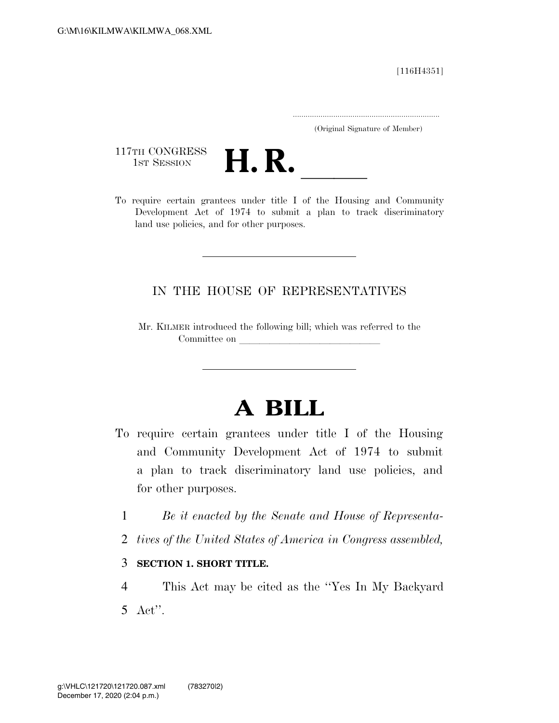[116H4351]

.....................................................................

(Original Signature of Member)

117TH CONGRESS<br>1st Session



117TH CONGRESS<br>1st SESSION<br>To require certain grantees under title I of the Housing and Community Development Act of 1974 to submit a plan to track discriminatory land use policies, and for other purposes.

## IN THE HOUSE OF REPRESENTATIVES

Mr. KILMER introduced the following bill; which was referred to the Committee on

## **A BILL**

- To require certain grantees under title I of the Housing and Community Development Act of 1974 to submit a plan to track discriminatory land use policies, and for other purposes.
	- 1 *Be it enacted by the Senate and House of Representa-*
	- 2 *tives of the United States of America in Congress assembled,*
	- 3 **SECTION 1. SHORT TITLE.**
	- 4 This Act may be cited as the ''Yes In My Backyard 5 Act''.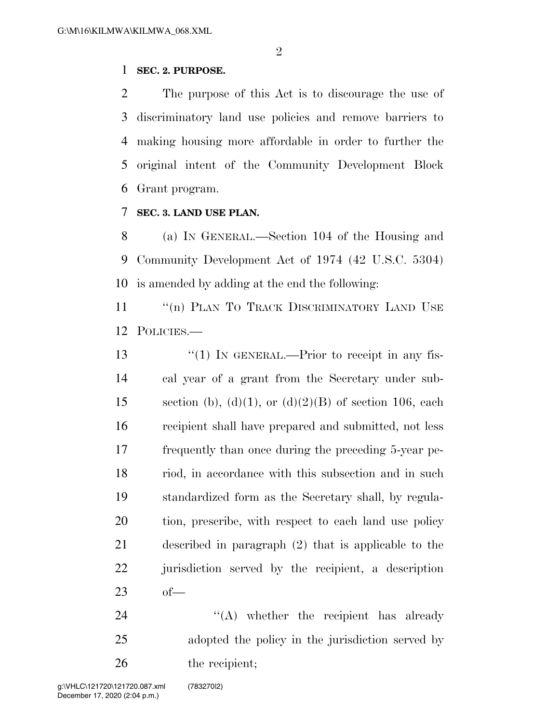## **SEC. 2. PURPOSE.**

 The purpose of this Act is to discourage the use of discriminatory land use policies and remove barriers to making housing more affordable in order to further the original intent of the Community Development Block Grant program.

## **SEC. 3. LAND USE PLAN.**

 (a) IN GENERAL.—Section 104 of the Housing and Community Development Act of 1974 (42 U.S.C. 5304) is amended by adding at the end the following:

11 "(n) PLAN TO TRACK DISCRIMINATORY LAND USE POLICIES.—

13 "(1) IN GENERAL.—Prior to receipt in any fis- cal year of a grant from the Secretary under sub-15 section (b), (d)(1), or (d)(2)(B) of section 106, each recipient shall have prepared and submitted, not less frequently than once during the preceding 5-year pe- riod, in accordance with this subsection and in such standardized form as the Secretary shall, by regula- tion, prescribe, with respect to each land use policy described in paragraph (2) that is applicable to the jurisdiction served by the recipient, a description of—

24 ''(A) whether the recipient has already adopted the policy in the jurisdiction served by 26 the recipient;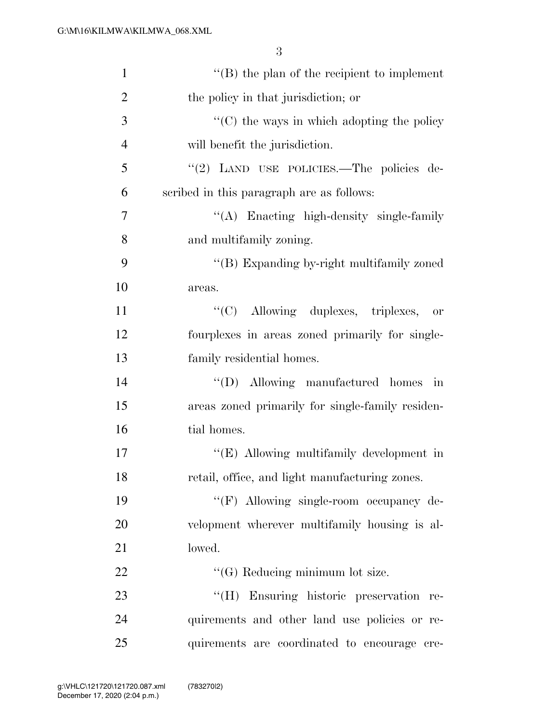| $\mathbf{1}$   | $\lq\lq (B)$ the plan of the recipient to implement    |
|----------------|--------------------------------------------------------|
| $\overline{2}$ | the policy in that jurisdiction; or                    |
| 3              | $\lq\lq$ (C) the ways in which adopting the policy     |
| $\overline{4}$ | will benefit the jurisdiction.                         |
| 5              | "(2) LAND USE POLICIES.—The policies de-               |
| 6              | scribed in this paragraph are as follows:              |
| 7              | $\lq\lq$ Enacting high-density single-family           |
| 8              | and multifamily zoning.                                |
| 9              | "(B) Expanding by-right multifamily zoned              |
| 10             | areas.                                                 |
| 11             | "(C) Allowing duplexes, triplexes,<br>- or             |
| 12             | fourplexes in areas zoned primarily for single-        |
| 13             | family residential homes.                              |
| 14             | $\lq\lq$ (D) Allowing manufactured homes<br>$\cdot$ in |
| 15             | areas zoned primarily for single-family residen-       |
| 16             | tial homes.                                            |
| 17             | "(E) Allowing multifamily development in               |
| 18             | retail, office, and light manufacturing zones.         |
| 19             | "(F) Allowing single-room occupancy de-                |
| 20             | velopment wherever multifamily housing is al-          |
| 21             | lowed.                                                 |
| 22             | $\lq\lq(G)$ Reducing minimum lot size.                 |
| 23             | "(H) Ensuring historic preservation re-                |
| 24             | quirements and other land use policies or re-          |
| 25             | quirements are coordinated to encourage cre-           |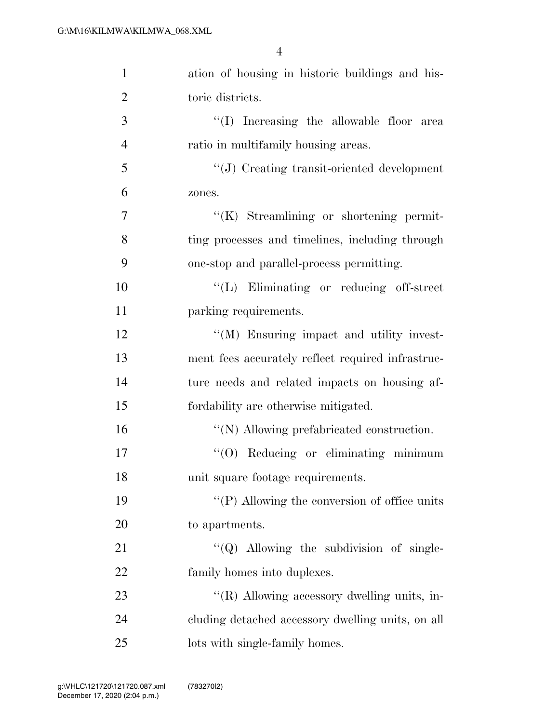| $\mathbf{1}$   | ation of housing in historic buildings and his-        |
|----------------|--------------------------------------------------------|
| $\overline{2}$ | toric districts.                                       |
| 3              | "(I) Increasing the allowable floor area               |
| $\overline{4}$ | ratio in multifamily housing areas.                    |
| 5              | $``(\mathrm{J})$ Creating transit-oriented development |
| 6              | zones.                                                 |
| 7              | $\lq\lq$ Streamlining or shortening permit-            |
| 8              | ting processes and timelines, including through        |
| 9              | one-stop and parallel-process permitting.              |
| 10             | "(L) Eliminating or reducing off-street                |
| 11             | parking requirements.                                  |
| 12             | "(M) Ensuring impact and utility invest-               |
| 13             | ment fees accurately reflect required infrastruc-      |
| 14             | ture needs and related impacts on housing af-          |
| 15             | fordability are otherwise mitigated.                   |
| 16             | "(N) Allowing prefabricated construction.              |
| 17             | $"(0)$ Reducing or eliminating minimum                 |
| 18             | unit square footage requirements.                      |
| 19             | "(P) Allowing the conversion of office units           |
| 20             | to apartments.                                         |
| 21             | $\lq\lq Q$ ) Allowing the subdivision of single-       |
| 22             | family homes into duplexes.                            |
| 23             | " $(R)$ Allowing accessory dwelling units, in-         |
| 24             | cluding detached accessory dwelling units, on all      |
| 25             | lots with single-family homes.                         |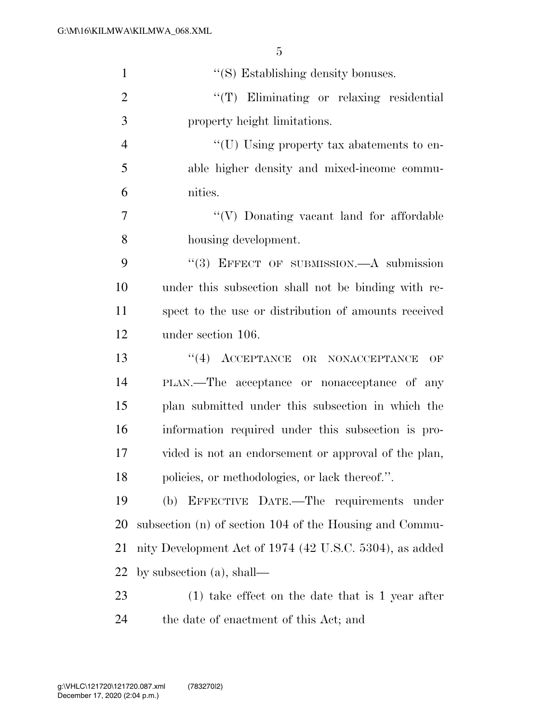| $\mathbf{1}$   | "(S) Establishing density bonuses.                      |
|----------------|---------------------------------------------------------|
| $\overline{2}$ | "(T) Eliminating or relaxing residential                |
| 3              | property height limitations.                            |
| $\overline{4}$ | "(U) Using property tax abatements to en-               |
| 5              | able higher density and mixed-income commu-             |
| 6              | nities.                                                 |
| 7              | "(V) Donating vacant land for affordable                |
| 8              | housing development.                                    |
| 9              | $``(3)$ EFFECT OF SUBMISSION.—A submission              |
| 10             | under this subsection shall not be binding with re-     |
| 11             | spect to the use or distribution of amounts received    |
| 12             | under section 106.                                      |
| 13             | "(4) ACCEPTANCE OR NONACCEPTANCE<br>OF                  |
| 14             | PLAN.—The acceptance or nonacceptance of any            |
| 15             | plan submitted under this subsection in which the       |
| 16             | information required under this subsection is pro-      |
| 17             | vided is not an endorsement or approval of the plan,    |
| 18             | policies, or methodologies, or lack thereof.".          |
| 19             | EFFECTIVE DATE.—The requirements under<br>(b)           |
| 20             | subsection (n) of section 104 of the Housing and Commu- |
| 21             | nity Development Act of 1974 (42 U.S.C. 5304), as added |
| 22             | by subsection $(a)$ , shall—                            |
| 23             | $(1)$ take effect on the date that is 1 year after      |
| 24             | the date of enactment of this Act; and                  |